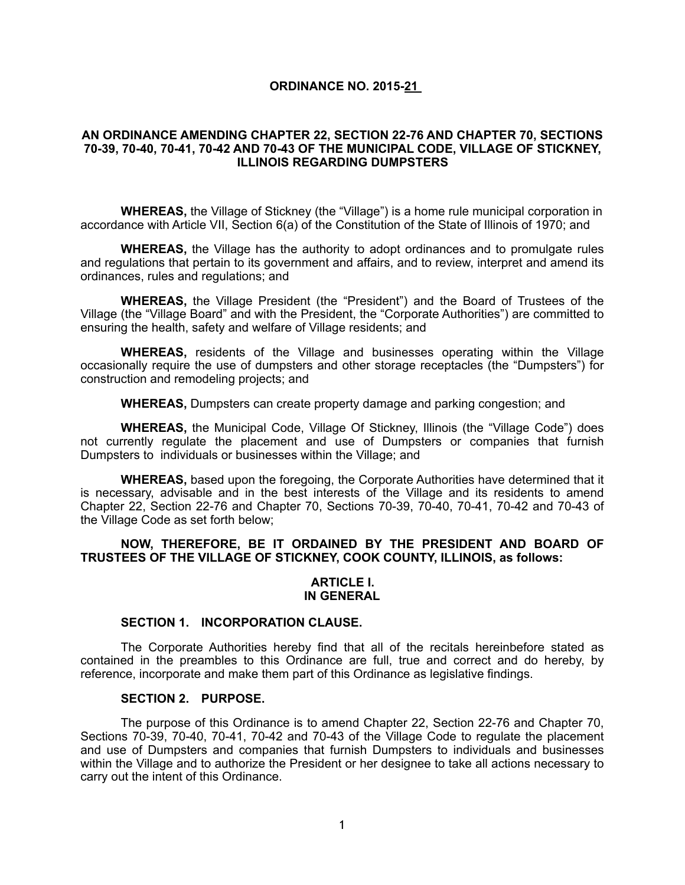## **ORDINANCE NO. 2015-21**

## **AN ORDINANCE AMENDING CHAPTER 22, SECTION 22-76 AND CHAPTER 70, SECTIONS 70-39, 70-40, 70-41, 70-42 AND 70-43 OF THE MUNICIPAL CODE, VILLAGE OF STICKNEY, ILLINOIS REGARDING DUMPSTERS**

**WHEREAS,** the Village of Stickney (the "Village") is a home rule municipal corporation in accordance with Article VII, Section 6(a) of the Constitution of the State of Illinois of 1970; and

**WHEREAS,** the Village has the authority to adopt ordinances and to promulgate rules and regulations that pertain to its government and affairs, and to review, interpret and amend its ordinances, rules and regulations; and

**WHEREAS,** the Village President (the "President") and the Board of Trustees of the Village (the "Village Board" and with the President, the "Corporate Authorities") are committed to ensuring the health, safety and welfare of Village residents; and

**WHEREAS,** residents of the Village and businesses operating within the Village occasionally require the use of dumpsters and other storage receptacles (the "Dumpsters") for construction and remodeling projects; and

**WHEREAS,** Dumpsters can create property damage and parking congestion; and

**WHEREAS,** the Municipal Code, Village Of Stickney, Illinois (the "Village Code") does not currently regulate the placement and use of Dumpsters or companies that furnish Dumpsters to individuals or businesses within the Village; and

**WHEREAS,** based upon the foregoing, the Corporate Authorities have determined that it is necessary, advisable and in the best interests of the Village and its residents to amend Chapter 22, Section 22-76 and Chapter 70, Sections 70-39, 70-40, 70-41, 70-42 and 70-43 of the Village Code as set forth below;

# **NOW, THEREFORE, BE IT ORDAINED BY THE PRESIDENT AND BOARD OF TRUSTEES OF THE VILLAGE OF STICKNEY, COOK COUNTY, ILLINOIS, as follows:**

### **ARTICLE I. IN GENERAL**

## **SECTION 1. INCORPORATION CLAUSE.**

The Corporate Authorities hereby find that all of the recitals hereinbefore stated as contained in the preambles to this Ordinance are full, true and correct and do hereby, by reference, incorporate and make them part of this Ordinance as legislative findings.

#### **SECTION 2. PURPOSE.**

The purpose of this Ordinance is to amend Chapter 22, Section 22-76 and Chapter 70, Sections 70-39, 70-40, 70-41, 70-42 and 70-43 of the Village Code to regulate the placement and use of Dumpsters and companies that furnish Dumpsters to individuals and businesses within the Village and to authorize the President or her designee to take all actions necessary to carry out the intent of this Ordinance.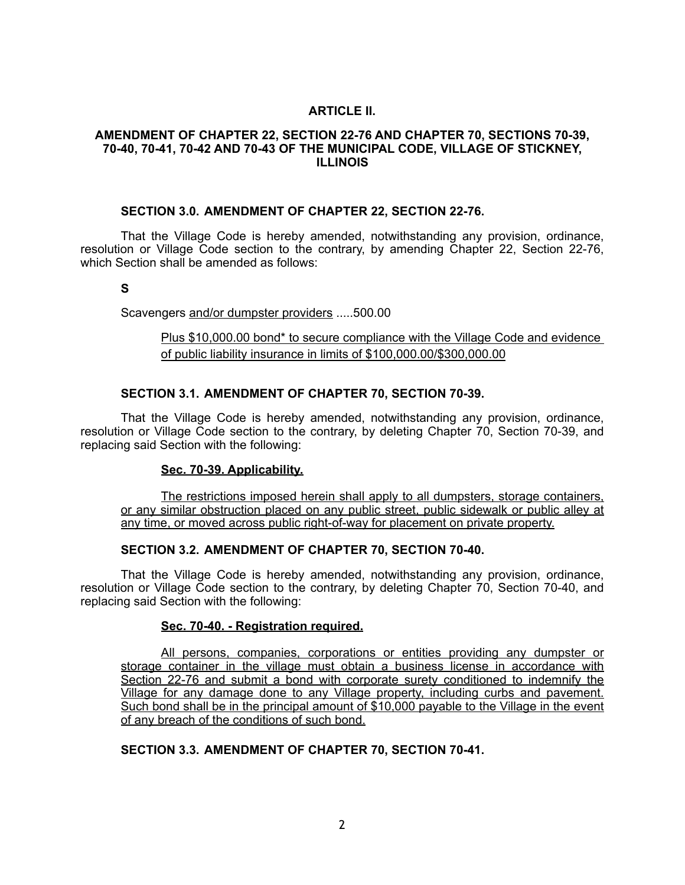# **ARTICLE II.**

## **AMENDMENT OF CHAPTER 22, SECTION 22-76 AND CHAPTER 70, SECTIONS 70-39, 70-40, 70-41, 70-42 AND 70-43 OF THE MUNICIPAL CODE, VILLAGE OF STICKNEY, ILLINOIS**

### **SECTION 3.0. AMENDMENT OF CHAPTER 22, SECTION 22-76.**

That the Village Code is hereby amended, notwithstanding any provision, ordinance, resolution or Village Code section to the contrary, by amending Chapter 22, Section 22-76, which Section shall be amended as follows:

**S**

Scavengers and/or dumpster providers .....500.00

Plus \$10,000.00 bond\* to secure compliance with the Village Code and evidence of public liability insurance in limits of \$100,000.00/\$300,000.00

# **SECTION 3.1. AMENDMENT OF CHAPTER 70, SECTION 70-39.**

That the Village Code is hereby amended, notwithstanding any provision, ordinance, resolution or Village Code section to the contrary, by deleting Chapter 70, Section 70-39, and replacing said Section with the following:

## **Sec. 70-39. Applicability.**

The restrictions imposed herein shall apply to all dumpsters, storage containers, or any similar obstruction placed on any public street, public sidewalk or public alley at any time, or moved across public right-of-way for placement on private property.

## **SECTION 3.2. AMENDMENT OF CHAPTER 70, SECTION 70-40.**

That the Village Code is hereby amended, notwithstanding any provision, ordinance, resolution or Village Code section to the contrary, by deleting Chapter 70, Section 70-40, and replacing said Section with the following:

## **Sec. 70-40. - Registration required.**

All persons, companies, corporations or entities providing any dumpster or storage container in the village must obtain a business license in accordance with Section 22-76 and submit a bond with corporate surety conditioned to indemnify the Village for any damage done to any Village property, including curbs and pavement. Such bond shall be in the principal amount of \$10,000 payable to the Village in the event of any breach of the conditions of such bond.

## **SECTION 3.3. AMENDMENT OF CHAPTER 70, SECTION 70-41.**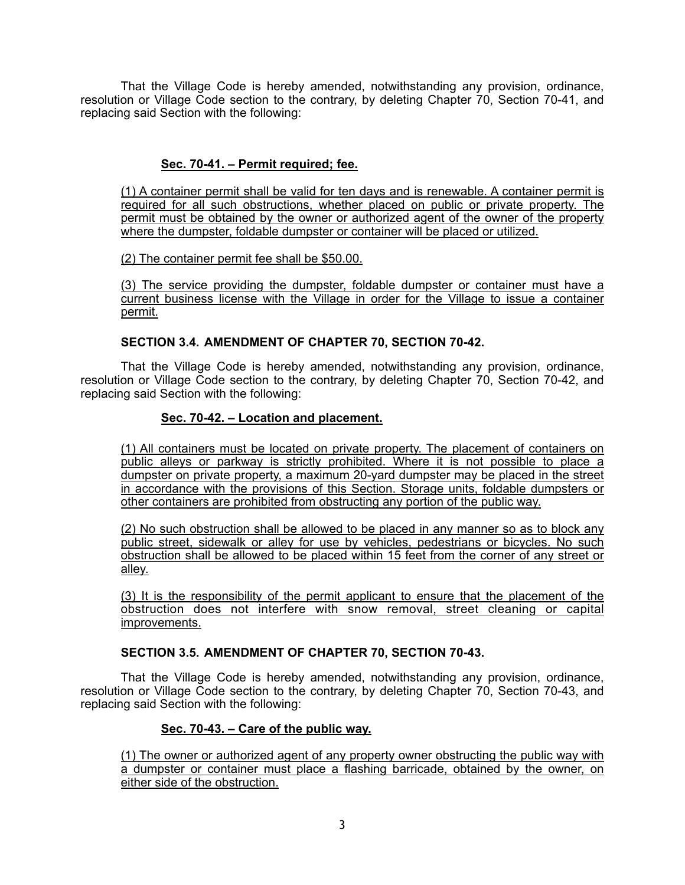That the Village Code is hereby amended, notwithstanding any provision, ordinance, resolution or Village Code section to the contrary, by deleting Chapter 70, Section 70-41, and replacing said Section with the following:

# **Sec. 70-41. – Permit required; fee.**

(1) A container permit shall be valid for ten days and is renewable. A container permit is required for all such obstructions, whether placed on public or private property. The permit must be obtained by the owner or authorized agent of the owner of the property where the dumpster, foldable dumpster or container will be placed or utilized.

(2) The container permit fee shall be \$50.00.

(3) The service providing the dumpster, foldable dumpster or container must have a current business license with the Village in order for the Village to issue a container permit.

# **SECTION 3.4. AMENDMENT OF CHAPTER 70, SECTION 70-42.**

That the Village Code is hereby amended, notwithstanding any provision, ordinance, resolution or Village Code section to the contrary, by deleting Chapter 70, Section 70-42, and replacing said Section with the following:

# **Sec. 70-42. – Location and placement.**

(1) All containers must be located on private property. The placement of containers on public alleys or parkway is strictly prohibited. Where it is not possible to place a dumpster on private property, a maximum 20-yard dumpster may be placed in the street in accordance with the provisions of this Section. Storage units, foldable dumpsters or other containers are prohibited from obstructing any portion of the public way.

(2) No such obstruction shall be allowed to be placed in any manner so as to block any public street, sidewalk or alley for use by vehicles, pedestrians or bicycles. No such obstruction shall be allowed to be placed within 15 feet from the corner of any street or alley.

(3) It is the responsibility of the permit applicant to ensure that the placement of the obstruction does not interfere with snow removal, street cleaning or capital improvements.

## **SECTION 3.5. AMENDMENT OF CHAPTER 70, SECTION 70-43.**

That the Village Code is hereby amended, notwithstanding any provision, ordinance, resolution or Village Code section to the contrary, by deleting Chapter 70, Section 70-43, and replacing said Section with the following:

## **Sec. 70-43. – Care of the public way.**

(1) The owner or authorized agent of any property owner obstructing the public way with a dumpster or container must place a flashing barricade, obtained by the owner, on either side of the obstruction.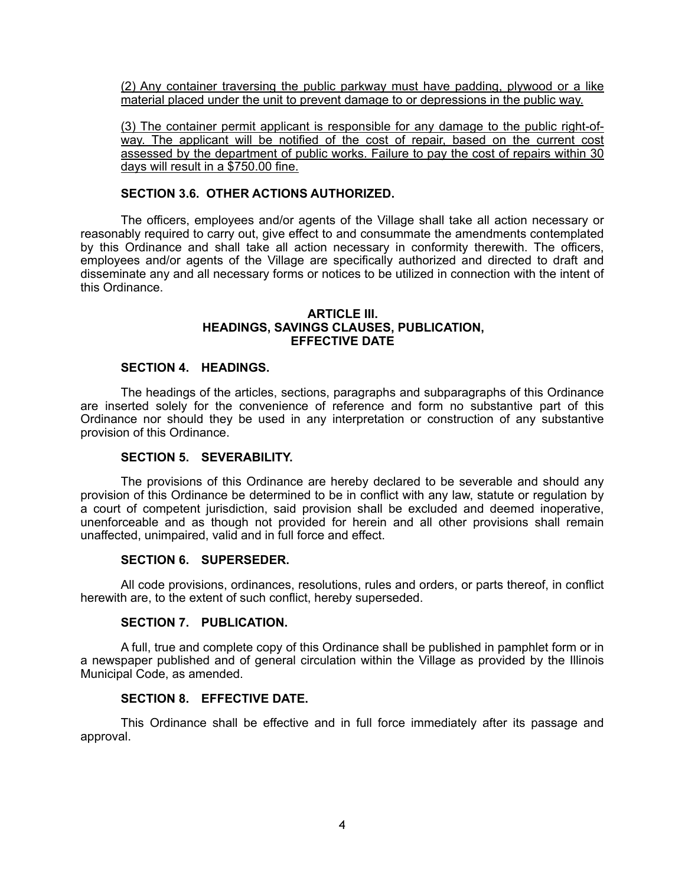(2) Any container traversing the public parkway must have padding, plywood or a like material placed under the unit to prevent damage to or depressions in the public way.

(3) The container permit applicant is responsible for any damage to the public right-ofway. The applicant will be notified of the cost of repair, based on the current cost assessed by the department of public works. Failure to pay the cost of repairs within 30 days will result in a \$750.00 fine.

## **SECTION 3.6. OTHER ACTIONS AUTHORIZED.**

The officers, employees and/or agents of the Village shall take all action necessary or reasonably required to carry out, give effect to and consummate the amendments contemplated by this Ordinance and shall take all action necessary in conformity therewith. The officers, employees and/or agents of the Village are specifically authorized and directed to draft and disseminate any and all necessary forms or notices to be utilized in connection with the intent of this Ordinance.

### **ARTICLE III. HEADINGS, SAVINGS CLAUSES, PUBLICATION, EFFECTIVE DATE**

## **SECTION 4. HEADINGS.**

The headings of the articles, sections, paragraphs and subparagraphs of this Ordinance are inserted solely for the convenience of reference and form no substantive part of this Ordinance nor should they be used in any interpretation or construction of any substantive provision of this Ordinance.

## **SECTION 5. SEVERABILITY.**

The provisions of this Ordinance are hereby declared to be severable and should any provision of this Ordinance be determined to be in conflict with any law, statute or regulation by a court of competent jurisdiction, said provision shall be excluded and deemed inoperative, unenforceable and as though not provided for herein and all other provisions shall remain unaffected, unimpaired, valid and in full force and effect.

### **SECTION 6. SUPERSEDER.**

All code provisions, ordinances, resolutions, rules and orders, or parts thereof, in conflict herewith are, to the extent of such conflict, hereby superseded.

## **SECTION 7. PUBLICATION.**

A full, true and complete copy of this Ordinance shall be published in pamphlet form or in a newspaper published and of general circulation within the Village as provided by the Illinois Municipal Code, as amended.

## **SECTION 8. EFFECTIVE DATE.**

This Ordinance shall be effective and in full force immediately after its passage and approval.